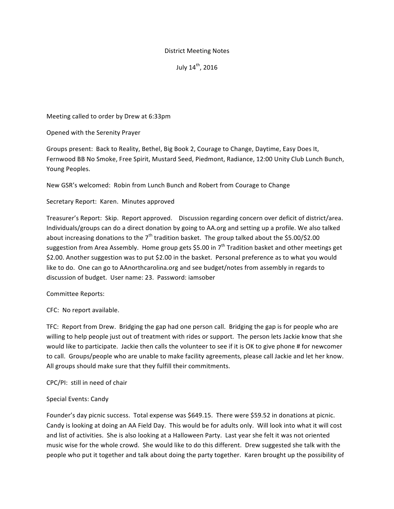# District Meeting Notes

July 14<sup>th</sup>, 2016

Meeting called to order by Drew at 6:33pm

# Opened with the Serenity Prayer

Groups present: Back to Reality, Bethel, Big Book 2, Courage to Change, Daytime, Easy Does It, Fernwood BB No Smoke, Free Spirit, Mustard Seed, Piedmont, Radiance, 12:00 Unity Club Lunch Bunch, Young Peoples.

New GSR's welcomed: Robin from Lunch Bunch and Robert from Courage to Change

# Secretary Report: Karen. Minutes approved

Treasurer's Report: Skip. Report approved. Discussion regarding concern over deficit of district/area. Individuals/groups can do a direct donation by going to AA.org and setting up a profile. We also talked about increasing donations to the  $7<sup>th</sup>$  tradition basket. The group talked about the \$5.00/\$2.00 suggestion from Area Assembly. Home group gets \$5.00 in  $7<sup>th</sup>$  Tradition basket and other meetings get \$2.00. Another suggestion was to put \$2.00 in the basket. Personal preference as to what you would like to do. One can go to AAnorthcarolina.org and see budget/notes from assembly in regards to discussion of budget. User name: 23. Password: iamsober

## Committee Reports:

CFC: No report available.

TFC: Report from Drew. Bridging the gap had one person call. Bridging the gap is for people who are willing to help people just out of treatment with rides or support. The person lets Jackie know that she would like to participate. Jackie then calls the volunteer to see if it is OK to give phone # for newcomer to call. Groups/people who are unable to make facility agreements, please call Jackie and let her know. All groups should make sure that they fulfill their commitments.

CPC/PI: still in need of chair

## Special Events: Candy

Founder's day picnic success. Total expense was \$649.15. There were \$59.52 in donations at picnic. Candy is looking at doing an AA Field Day. This would be for adults only. Will look into what it will cost and list of activities. She is also looking at a Halloween Party. Last year she felt it was not oriented music wise for the whole crowd. She would like to do this different. Drew suggested she talk with the people who put it together and talk about doing the party together. Karen brought up the possibility of